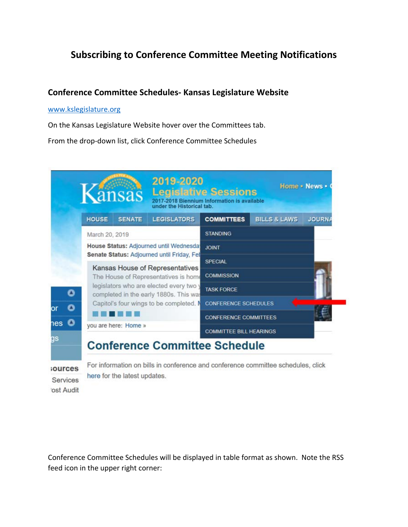# **Subscribing to Conference Committee Meeting Notifications**

### **Conference Committee Schedules- Kansas Legislature Website**

#### www.kslegislature.org

On the Kansas Legislature Website hover over the Committees tab.

From the drop-down list, click Conference Committee Schedules



Services 'ost Audit here for the latest updates.

Conference Committee Schedules will be displayed in table format as shown. Note the RSS feed icon in the upper right corner: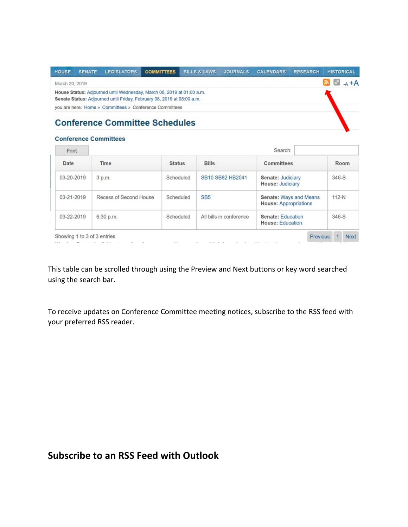| <b>HOUSE</b>                                                                                                                                    | <b>SENATE</b> | <b>LEGISLATORS</b>                                      | <b>COMMITTEES</b> | <b>BILLS &amp; LAWS</b> | <b>JOURNALS</b> | <b>CALENDARS</b> | <b>RESEARCH</b> | <b>HISTORICAL</b>                |
|-------------------------------------------------------------------------------------------------------------------------------------------------|---------------|---------------------------------------------------------|-------------------|-------------------------|-----------------|------------------|-----------------|----------------------------------|
| March 20, 2019                                                                                                                                  |               |                                                         |                   |                         |                 |                  |                 | $\mathbb{R}$ $e^{\rho}$<br>$A+A$ |
| House Status: Adjourned until Wednesday, March 06, 2019 at 01:00 a.m.<br>Senate Status: Adjourned until Friday, February 08, 2019 at 08:00 a.m. |               |                                                         |                   |                         |                 |                  |                 |                                  |
|                                                                                                                                                 |               | you are here: Home » Committees » Conference Committees |                   |                         |                 |                  |                 |                                  |
|                                                                                                                                                 |               | <b>Conference Committee Schedules</b>                   |                   |                         |                 |                  |                 |                                  |

### **Conference Committees**

| Print      | Search:                |               |                         |                                                               |         |  |  |  |
|------------|------------------------|---------------|-------------------------|---------------------------------------------------------------|---------|--|--|--|
| Date       | Time                   | <b>Status</b> | <b>Bills</b>            | <b>Committees</b>                                             | Room    |  |  |  |
| 03-20-2019 | 3 p.m.                 | Scheduled     | SB10 SB82 HB2041        | Senate: Judiciary<br><b>House: Judiciary</b>                  | 346-S   |  |  |  |
| 03-21-2019 | Recess of Second House | Scheduled     | SB <sub>5</sub>         | <b>Senate: Ways and Means</b><br><b>House: Appropriations</b> | $112-N$ |  |  |  |
| 03-22-2019 | 6:30 p.m.              | Scheduled     | All bills in conference | <b>Senate: Education</b><br><b>House: Education</b>           | 346-S   |  |  |  |

This table can be scrolled through using the Preview and Next buttons or key word searched using the search bar.

To receive updates on Conference Committee meeting notices, subscribe to the RSS feed with your preferred RSS reader.

# **Subscribe to an RSS Feed with Outlook**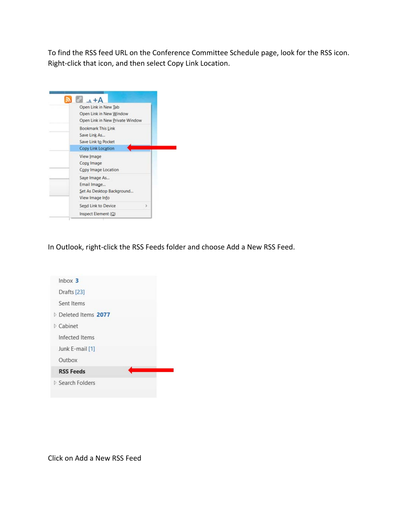To find the RSS feed URL on the Conference Committee Schedule page, look for the RSS icon. Right-click that icon, and then select Copy Link Location.



In Outlook, right-click the RSS Feeds folder and choose Add a New RSS Feed.



Click on Add a New RSS Feed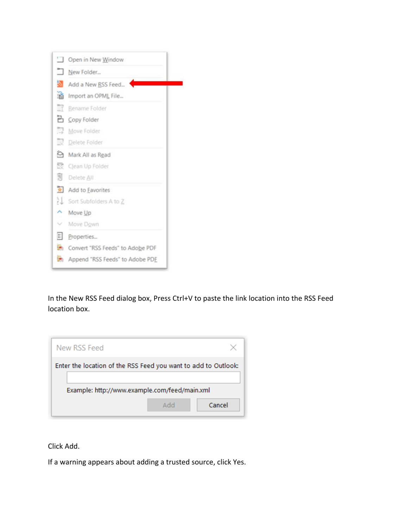

In the New RSS Feed dialog box, Press Ctrl+V to paste the link location into the RSS Feed location box.

| New RSS Feed                                                   |               |  |  |  |  |  |
|----------------------------------------------------------------|---------------|--|--|--|--|--|
| Enter the location of the RSS Feed you want to add to Outlook: |               |  |  |  |  |  |
| Example: http://www.example.com/feed/main.xml                  |               |  |  |  |  |  |
|                                                                | Cancel<br>Add |  |  |  |  |  |

Click Add.

If a warning appears about adding a trusted source, click Yes.